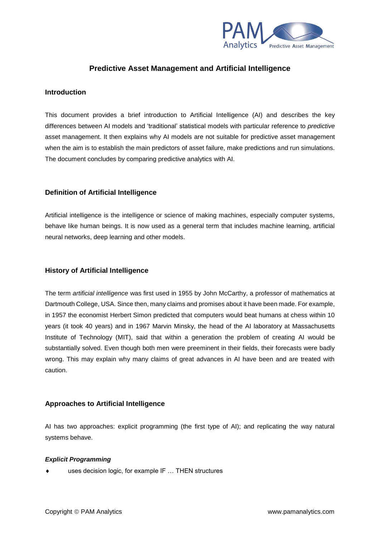

# **Predictive Asset Management and Artificial Intelligence**

## **Introduction**

This document provides a brief introduction to Artificial Intelligence (AI) and describes the key differences between AI models and 'traditional' statistical models with particular reference to *predictive* asset management. It then explains why AI models are not suitable for predictive asset management when the aim is to establish the main predictors of asset failure, make predictions and run simulations. The document concludes by comparing predictive analytics with AI.

## **Definition of Artificial Intelligence**

Artificial intelligence is the intelligence or science of making machines, especially computer systems, behave like human beings. It is now used as a general term that includes machine learning, artificial neural networks, deep learning and other models.

## **History of Artificial Intelligence**

The term *artificial intelligence* was first used in 1955 by John McCarthy, a professor of mathematics at Dartmouth College, USA. Since then, many claims and promises about it have been made. For example, in 1957 the economist Herbert Simon predicted that computers would beat humans at chess within 10 years (it took 40 years) and in 1967 Marvin Minsky, the head of the AI laboratory at Massachusetts Institute of Technology (MIT), said that within a generation the problem of creating AI would be substantially solved. Even though both men were preeminent in their fields, their forecasts were badly wrong. This may explain why many claims of great advances in AI have been and are treated with caution.

## **Approaches to Artificial Intelligence**

AI has two approaches: explicit programming (the first type of AI); and replicating the way natural systems behave.

### *Explicit Programming*

uses decision logic, for example IF … THEN structures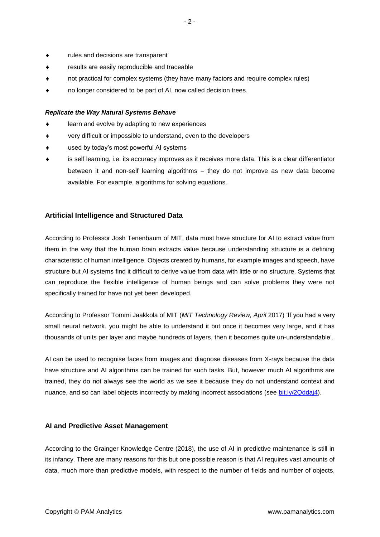- rules and decisions are transparent
- results are easily reproducible and traceable
- not practical for complex systems (they have many factors and require complex rules)
- no longer considered to be part of AI, now called decision trees.

#### *Replicate the Way Natural Systems Behave*

- learn and evolve by adapting to new experiences
- very difficult or impossible to understand, even to the developers
- used by today's most powerful AI systems
- is self learning, i.e. its accuracy improves as it receives more data. This is a clear differentiator between it and non-self learning algorithms – they do not improve as new data become available. For example, algorithms for solving equations.

### **Artificial Intelligence and Structured Data**

According to Professor Josh Tenenbaum of MIT, data must have structure for AI to extract value from them in the way that the human brain extracts value because understanding structure is a defining characteristic of human intelligence. Objects created by humans, for example images and speech, have structure but AI systems find it difficult to derive value from data with little or no structure. Systems that can reproduce the flexible intelligence of human beings and can solve problems they were not specifically trained for have not yet been developed.

According to Professor Tommi Jaakkola of MIT (*MIT Technology Review, April* 2017) 'If you had a very small neural network, you might be able to understand it but once it becomes very large, and it has thousands of units per layer and maybe hundreds of layers, then it becomes quite un-understandable'.

AI can be used to recognise faces from images and diagnose diseases from X-rays because the data have structure and AI algorithms can be trained for such tasks. But, however much AI algorithms are trained, they do not always see the world as we see it because they do not understand context and nuance, and so can label objects incorrectly by making incorrect associations (see [bit.ly/2Qddaj4\)](file:///C:/Users/Atai/Documents/PAM%20Analytics/Website/PAM%20System%20Page/bit.ly/2Qddaj4).

#### **AI and Predictive Asset Management**

According to the Grainger Knowledge Centre (2018), the use of AI in predictive maintenance is still in its infancy. There are many reasons for this but one possible reason is that AI requires vast amounts of data, much more than predictive models, with respect to the number of fields and number of objects,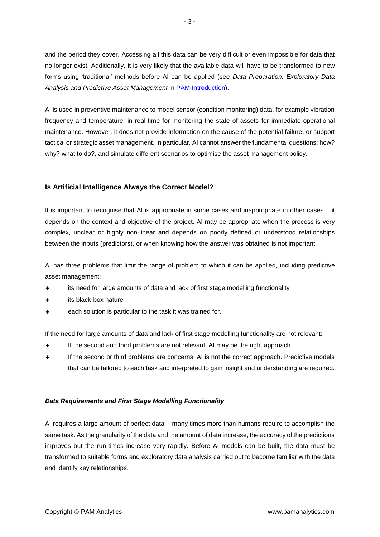and the period they cover. Accessing all this data can be very difficult or even impossible for data that no longer exist. Additionally, it is very likely that the available data will have to be transformed to new forms using 'traditional' methods before AI can be applied (see *Data Preparation, Exploratory Data Analysis and Predictive Asset Management* in [PAM Introduction\)](http://www.pamanalytics.com/PAM_introduction.html).

AI is used in preventive maintenance to model sensor (condition monitoring) data, for example vibration frequency and temperature, in real-time for monitoring the state of assets for immediate operational maintenance. However, it does not provide information on the cause of the potential failure, or support tactical or strategic asset management. In particular, AI cannot answer the fundamental questions: how? why? what to do?, and simulate different scenarios to optimise the asset management policy.

## **Is Artificial Intelligence Always the Correct Model?**

It is important to recognise that AI is appropriate in some cases and inappropriate in other cases − it depends on the context and objective of the project. AI may be appropriate when the process is very complex, unclear or highly non-linear and depends on poorly defined or understood relationships between the inputs (predictors), or when knowing how the answer was obtained is not important.

AI has three problems that limit the range of problem to which it can be applied, including predictive asset management:

- its need for large amounts of data and lack of first stage modelling functionality
- its black-box nature
- each solution is particular to the task it was trained for.

If the need for large amounts of data and lack of first stage modelling functionality are not relevant:

- If the second and third problems are not relevant, AI may be the right approach.
- If the second or third problems are concerns, AI is not the correct approach. Predictive models that can be tailored to each task and interpreted to gain insight and understanding are required.

#### *Data Requirements and First Stage Modelling Functionality*

AI requires a large amount of perfect data – many times more than humans require to accomplish the same task. As the granularity of the data and the amount of data increase, the accuracy of the predictions improves but the run-times increase very rapidly. Before AI models can be built, the data must be transformed to suitable forms and exploratory data analysis carried out to become familiar with the data and identify key relationships.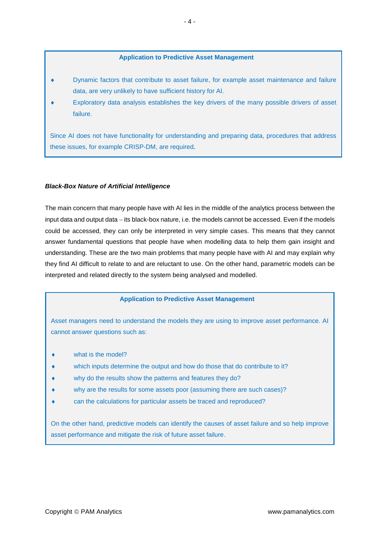### **Application to Predictive Asset Management**

- Dynamic factors that contribute to asset failure, for example asset maintenance and failure data, are very unlikely to have sufficient history for AI.
- Exploratory data analysis establishes the key drivers of the many possible drivers of asset failure.

Since AI does not have functionality for understanding and preparing data, procedures that address these issues, for example CRISP-DM, are required.

### *Black-Box Nature of Artificial Intelligence*

The main concern that many people have with AI lies in the middle of the analytics process between the input data and output data − its black-box nature, i.e. the models cannot be accessed. Even if the models could be accessed, they can only be interpreted in very simple cases. This means that they cannot answer fundamental questions that people have when modelling data to help them gain insight and understanding. These are the two main problems that many people have with AI and may explain why they find AI difficult to relate to and are reluctant to use. On the other hand, parametric models can be interpreted and related directly to the system being analysed and modelled.

### **Application to Predictive Asset Management**

Asset managers need to understand the models they are using to improve asset performance. AI cannot answer questions such as:

- what is the model?
- which inputs determine the output and how do those that do contribute to it?
- why do the results show the patterns and features they do?
- why are the results for some assets poor (assuming there are such cases)?
- can the calculations for particular assets be traced and reproduced?

On the other hand, predictive models can identify the causes of asset failure and so help improve asset performance and mitigate the risk of future asset failure.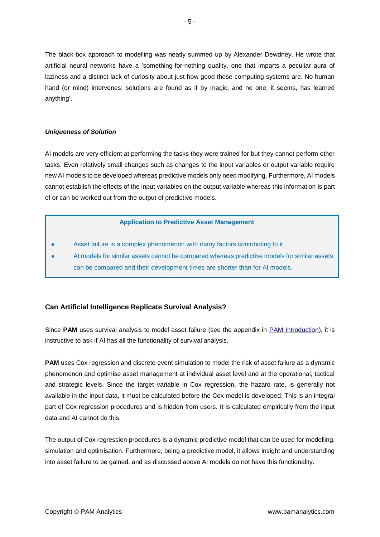The black-box approach to modelling was neatly summed up by Alexander Dewdney. He wrote that artificial neural networks have a 'something-for-nothing quality, one that imparts a peculiar aura of laziness and a distinct lack of curiosity about just how good these computing systems are. No human hand (or mind) intervenes; solutions are found as if by magic; and no one, it seems, has learned anything'.

### *Uniqueness of Solution*

AI models are very efficient at performing the tasks they were trained for but they cannot perform other tasks. Even relatively small changes such as changes to the input variables or output variable require new AI models to be developed whereas predictive models only need modifying. Furthermore, AI models cannot establish the effects of the input variables on the output variable whereas this information is part of or can be worked out from the output of predictive models.

### **Application to Predictive Asset Management**

- Asset failure is a complex phenomenon with many factors contributing to it.
- AI models for similar assets cannot be compared whereas predictive models for similar assets can be compared and their development times are shorter than for AI models.

# **Can Artificial Intelligence Replicate Survival Analysis?**

Since PAM uses survival analysis to model asset failure (see the appendix in **PAM Introduction**), it is instructive to ask if AI has all the functionality of survival analysis.

**PAM** uses Cox regression and discrete event simulation to model the risk of asset failure as a dynamic phenomenon and optimise asset management at individual asset level and at the operational, tactical and strategic levels. Since the target variable in Cox regression, the hazard rate, is generally not available in the input data, it must be calculated before the Cox model is developed. This is an integral part of Cox regression procedures and is hidden from users. It is calculated empirically from the input data and AI cannot do this.

The output of Cox regression procedures is a dynamic predictive model that can be used for modelling, simulation and optimisation. Furthermore, being a predictive model, it allows insight and understanding into asset failure to be gained, and as discussed above AI models do not have this functionality.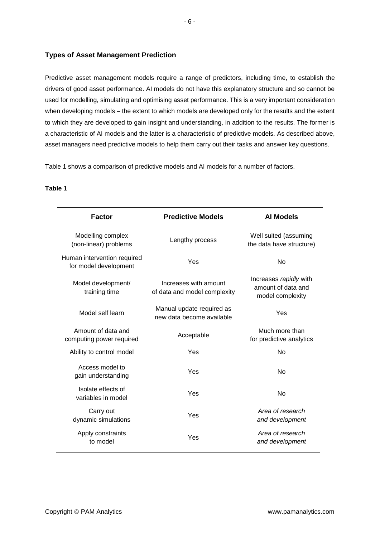## **Types of Asset Management Prediction**

Predictive asset management models require a range of predictors, including time, to establish the drivers of good asset performance. AI models do not have this explanatory structure and so cannot be used for modelling, simulating and optimising asset performance. This is a very important consideration when developing models – the extent to which models are developed only for the results and the extent to which they are developed to gain insight and understanding, in addition to the results. The former is a characteristic of AI models and the latter is a characteristic of predictive models. As described above, asset managers need predictive models to help them carry out their tasks and answer key questions.

Table 1 shows a comparison of predictive models and AI models for a number of factors.

| <b>Predictive Models</b>                               | <b>Al Models</b>                                                 |
|--------------------------------------------------------|------------------------------------------------------------------|
| Lengthy process                                        | Well suited (assuming<br>the data have structure)                |
| Yes                                                    | No                                                               |
| Increases with amount<br>of data and model complexity  | Increases rapidly with<br>amount of data and<br>model complexity |
| Manual update required as<br>new data become available | Yes                                                              |
| Acceptable                                             | Much more than<br>for predictive analytics                       |
| Yes                                                    | No                                                               |
| Yes                                                    | <b>No</b>                                                        |
| Yes                                                    | <b>No</b>                                                        |
| Yes                                                    | Area of research<br>and development                              |
| Yes                                                    | Area of research<br>and development                              |
|                                                        |                                                                  |

### **Table 1**